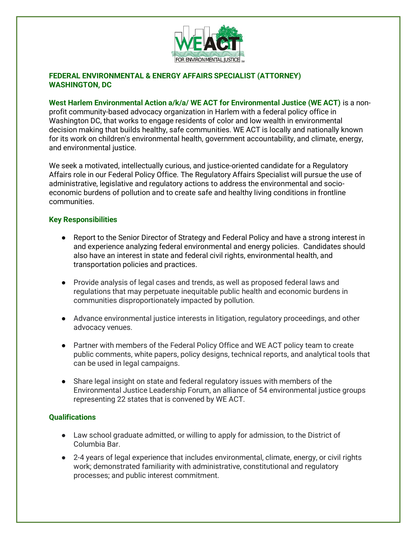

## **FEDERAL ENVIRONMENTAL & ENERGY AFFAIRS SPECIALIST (ATTORNEY) WASHINGTON, DC**

#### **West Harlem Environmental Action a/k/a/ WE ACT for Environmental Justice (WE ACT)** is a non-

profit community-based advocacy organization in Harlem with a federal policy office in Washington DC, that works to engage residents of color and low wealth in environmental decision making that builds healthy, safe communities. WE ACT is locally and nationally known for its work on children's environmental health, government accountability, and climate, energy, and environmental justice.

We seek a motivated, intellectually curious, and justice-oriented candidate for a Regulatory Affairs role in our Federal Policy Office. The Regulatory Affairs Specialist will pursue the use of administrative, legislative and regulatory actions to address the environmental and socioeconomic burdens of pollution and to create safe and healthy living conditions in frontline communities.

#### **Key Responsibilities**

- Report to the Senior Director of Strategy and Federal Policy and have a strong interest in and experience analyzing federal environmental and energy policies. Candidates should also have an interest in state and federal civil rights, environmental health, and transportation policies and practices.
- Provide analysis of legal cases and trends, as well as proposed federal laws and regulations that may perpetuate inequitable public health and economic burdens in communities disproportionately impacted by pollution.
- Advance environmental justice interests in litigation, regulatory proceedings, and other advocacy venues.
- Partner with members of the Federal Policy Office and WE ACT policy team to create public comments, white papers, policy designs, technical reports, and analytical tools that can be used in legal campaigns.
- Share legal insight on state and federal regulatory issues with members of the Environmental Justice Leadership Forum, an alliance of 54 environmental justice groups representing 22 states that is convened by WE ACT.

## **Qualifications**

- Law school graduate admitted, or willing to apply for admission, to the District of Columbia Bar.
- 2-4 years of legal experience that includes environmental, climate, energy, or civil rights work; demonstrated familiarity with administrative, constitutional and regulatory processes; and public interest commitment.